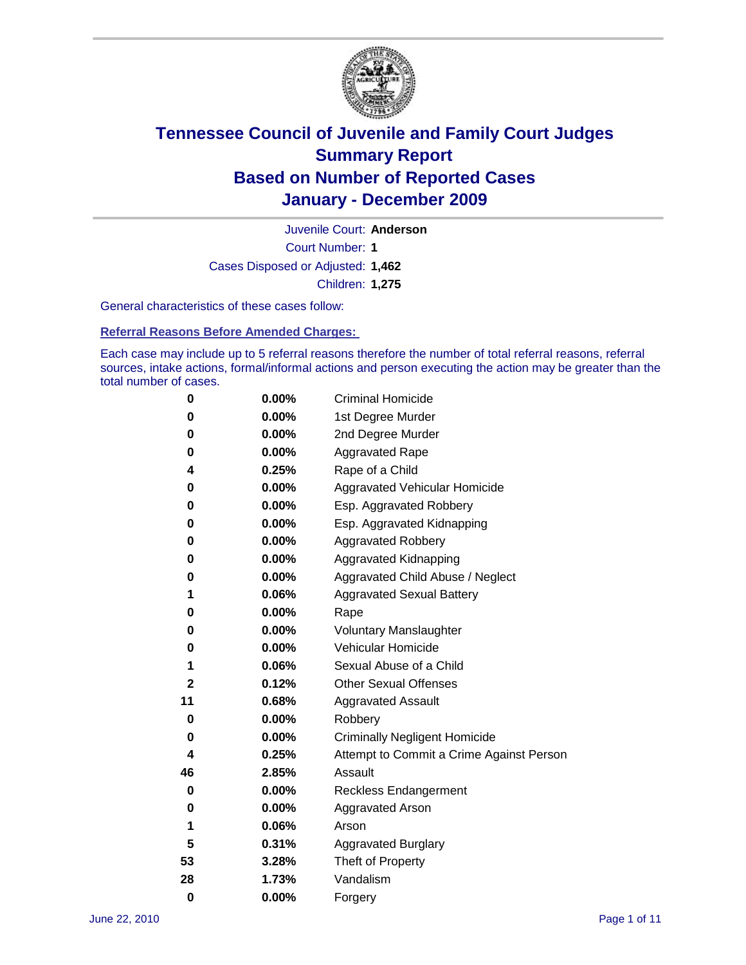

Court Number: **1** Juvenile Court: **Anderson** Cases Disposed or Adjusted: **1,462** Children: **1,275**

General characteristics of these cases follow:

**Referral Reasons Before Amended Charges:** 

Each case may include up to 5 referral reasons therefore the number of total referral reasons, referral sources, intake actions, formal/informal actions and person executing the action may be greater than the total number of cases.

| 0  | 0.00% | <b>Criminal Homicide</b>                 |  |  |  |
|----|-------|------------------------------------------|--|--|--|
| 0  | 0.00% | 1st Degree Murder                        |  |  |  |
| 0  | 0.00% | 2nd Degree Murder                        |  |  |  |
| 0  | 0.00% | <b>Aggravated Rape</b>                   |  |  |  |
| 4  | 0.25% | Rape of a Child                          |  |  |  |
| 0  | 0.00% | Aggravated Vehicular Homicide            |  |  |  |
| 0  | 0.00% | Esp. Aggravated Robbery                  |  |  |  |
| 0  | 0.00% | Esp. Aggravated Kidnapping               |  |  |  |
| 0  | 0.00% | Aggravated Robbery                       |  |  |  |
| 0  | 0.00% | Aggravated Kidnapping                    |  |  |  |
| 0  | 0.00% | Aggravated Child Abuse / Neglect         |  |  |  |
| 1  | 0.06% | <b>Aggravated Sexual Battery</b>         |  |  |  |
| 0  | 0.00% | Rape                                     |  |  |  |
| 0  | 0.00% | <b>Voluntary Manslaughter</b>            |  |  |  |
| 0  | 0.00% | Vehicular Homicide                       |  |  |  |
| 1  | 0.06% | Sexual Abuse of a Child                  |  |  |  |
| 2  | 0.12% | <b>Other Sexual Offenses</b>             |  |  |  |
| 11 | 0.68% | <b>Aggravated Assault</b>                |  |  |  |
| 0  | 0.00% | Robbery                                  |  |  |  |
| 0  | 0.00% | <b>Criminally Negligent Homicide</b>     |  |  |  |
| 4  | 0.25% | Attempt to Commit a Crime Against Person |  |  |  |
| 46 | 2.85% | Assault                                  |  |  |  |
| 0  | 0.00% | <b>Reckless Endangerment</b>             |  |  |  |
| 0  | 0.00% | <b>Aggravated Arson</b>                  |  |  |  |
| 1  | 0.06% | Arson                                    |  |  |  |
| 5  | 0.31% | <b>Aggravated Burglary</b>               |  |  |  |
| 53 | 3.28% | Theft of Property                        |  |  |  |
| 28 | 1.73% | Vandalism                                |  |  |  |
| 0  | 0.00% | Forgery                                  |  |  |  |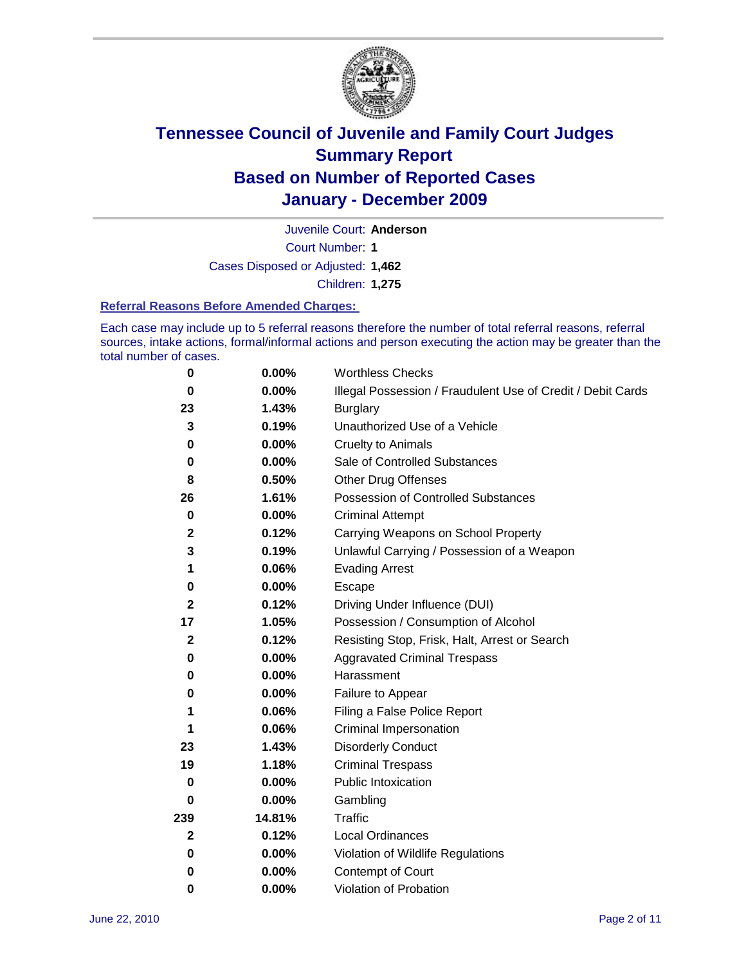

Juvenile Court: **Anderson**

Court Number: **1**

Cases Disposed or Adjusted: **1,462**

Children: **1,275**

#### **Referral Reasons Before Amended Charges:**

Each case may include up to 5 referral reasons therefore the number of total referral reasons, referral sources, intake actions, formal/informal actions and person executing the action may be greater than the total number of cases.

| $\pmb{0}$        | 0.00%    | <b>Worthless Checks</b>                                     |
|------------------|----------|-------------------------------------------------------------|
| 0                | 0.00%    | Illegal Possession / Fraudulent Use of Credit / Debit Cards |
| 23               | 1.43%    | <b>Burglary</b>                                             |
| 3                | 0.19%    | Unauthorized Use of a Vehicle                               |
| 0                | $0.00\%$ | <b>Cruelty to Animals</b>                                   |
| 0                | $0.00\%$ | Sale of Controlled Substances                               |
| 8                | 0.50%    | <b>Other Drug Offenses</b>                                  |
| 26               | 1.61%    | Possession of Controlled Substances                         |
| $\mathbf 0$      | $0.00\%$ | <b>Criminal Attempt</b>                                     |
| $\boldsymbol{2}$ | 0.12%    | Carrying Weapons on School Property                         |
| 3                | 0.19%    | Unlawful Carrying / Possession of a Weapon                  |
| 1                | 0.06%    | <b>Evading Arrest</b>                                       |
| 0                | 0.00%    | Escape                                                      |
| $\mathbf{2}$     | 0.12%    | Driving Under Influence (DUI)                               |
| 17               | 1.05%    | Possession / Consumption of Alcohol                         |
| $\mathbf 2$      | 0.12%    | Resisting Stop, Frisk, Halt, Arrest or Search               |
| 0                | $0.00\%$ | <b>Aggravated Criminal Trespass</b>                         |
| 0                | $0.00\%$ | Harassment                                                  |
| 0                | 0.00%    | Failure to Appear                                           |
| 1                | 0.06%    | Filing a False Police Report                                |
| 1                | 0.06%    | Criminal Impersonation                                      |
| 23               | 1.43%    | <b>Disorderly Conduct</b>                                   |
| 19               | 1.18%    | <b>Criminal Trespass</b>                                    |
| 0                | 0.00%    | <b>Public Intoxication</b>                                  |
| 0                | $0.00\%$ | Gambling                                                    |
| 239              | 14.81%   | <b>Traffic</b>                                              |
| $\mathbf{2}$     | 0.12%    | Local Ordinances                                            |
| 0                | $0.00\%$ | Violation of Wildlife Regulations                           |
| 0                | $0.00\%$ | Contempt of Court                                           |
| 0                | 0.00%    | Violation of Probation                                      |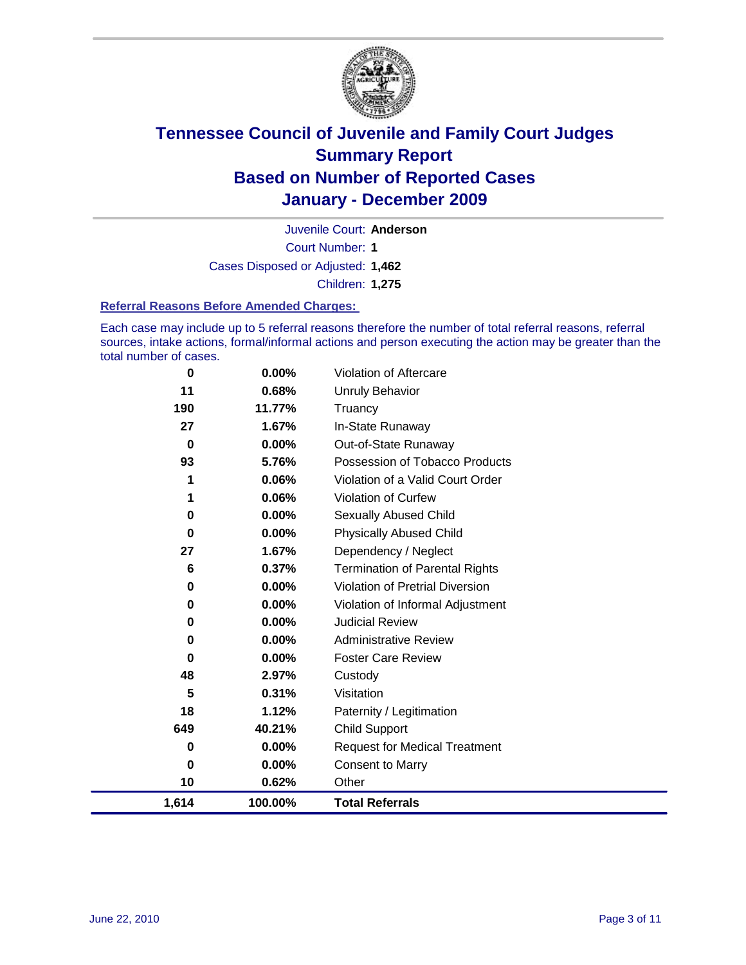

Court Number: **1** Juvenile Court: **Anderson** Cases Disposed or Adjusted: **1,462**

Children: **1,275**

#### **Referral Reasons Before Amended Charges:**

Each case may include up to 5 referral reasons therefore the number of total referral reasons, referral sources, intake actions, formal/informal actions and person executing the action may be greater than the total number of cases.

| 1,614       | 100.00% | <b>Total Referrals</b>                 |
|-------------|---------|----------------------------------------|
| 10          | 0.62%   | Other                                  |
| 0           | 0.00%   | <b>Consent to Marry</b>                |
| 0           | 0.00%   | <b>Request for Medical Treatment</b>   |
| 649         | 40.21%  | <b>Child Support</b>                   |
| 18          | 1.12%   | Paternity / Legitimation               |
| 5           | 0.31%   | Visitation                             |
| 48          | 2.97%   | Custody                                |
| 0           | 0.00%   | <b>Foster Care Review</b>              |
| 0           | 0.00%   | <b>Administrative Review</b>           |
| 0           | 0.00%   | <b>Judicial Review</b>                 |
| 0           | 0.00%   | Violation of Informal Adjustment       |
| 0           | 0.00%   | <b>Violation of Pretrial Diversion</b> |
| 6           | 0.37%   | <b>Termination of Parental Rights</b>  |
| 27          | 1.67%   | Dependency / Neglect                   |
| 0           | 0.00%   | <b>Physically Abused Child</b>         |
| 0           | 0.00%   | <b>Sexually Abused Child</b>           |
| 1           | 0.06%   | <b>Violation of Curfew</b>             |
| 1           | 0.06%   | Violation of a Valid Court Order       |
| 93          | 5.76%   | Possession of Tobacco Products         |
| $\mathbf 0$ | 0.00%   | Out-of-State Runaway                   |
| 27          | 1.67%   | In-State Runaway                       |
| 190         | 11.77%  | Truancy                                |
| 11          | 0.68%   | <b>Unruly Behavior</b>                 |
| 0           | 0.00%   | <b>Violation of Aftercare</b>          |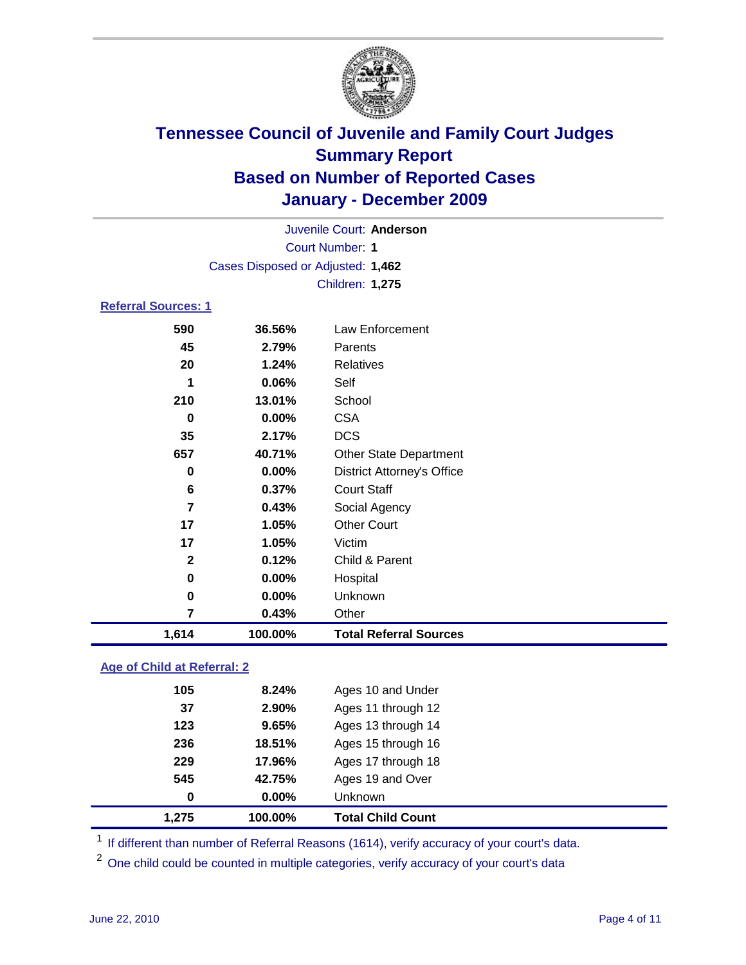

|                            | Juvenile Court: Anderson          |                                   |  |  |
|----------------------------|-----------------------------------|-----------------------------------|--|--|
|                            | <b>Court Number: 1</b>            |                                   |  |  |
|                            | Cases Disposed or Adjusted: 1,462 |                                   |  |  |
|                            |                                   | Children: 1,275                   |  |  |
| <b>Referral Sources: 1</b> |                                   |                                   |  |  |
| 590                        | 36.56%                            | <b>Law Enforcement</b>            |  |  |
| 45                         | 2.79%                             | Parents                           |  |  |
| 20                         | 1.24%                             | <b>Relatives</b>                  |  |  |
| 1                          | 0.06%                             | Self                              |  |  |
| 210                        | 13.01%                            | School                            |  |  |
| 0                          | 0.00%                             | <b>CSA</b>                        |  |  |
| 35                         | 2.17%                             | <b>DCS</b>                        |  |  |
| 657                        | 40.71%                            | <b>Other State Department</b>     |  |  |
| $\bf{0}$                   | $0.00\%$                          | <b>District Attorney's Office</b> |  |  |
| 6                          | 0.37%                             | <b>Court Staff</b>                |  |  |
| $\overline{7}$             | 0.43%                             | Social Agency                     |  |  |
| 17                         | 1.05%                             | <b>Other Court</b>                |  |  |
| 17                         | 1.05%                             | Victim                            |  |  |
| $\mathbf{2}$               | 0.12%                             | Child & Parent                    |  |  |
| 0                          | 0.00%                             | Hospital                          |  |  |
| 0                          | 0.00%                             | Unknown                           |  |  |
| $\overline{7}$             | 0.43%                             | Other                             |  |  |
| 1,614                      | 100.00%                           | <b>Total Referral Sources</b>     |  |  |
|                            |                                   |                                   |  |  |

### **Age of Child at Referral: 2**

| 0   | $0.00\%$ | <b>Unknown</b>     |  |
|-----|----------|--------------------|--|
|     |          |                    |  |
| 545 | 42.75%   | Ages 19 and Over   |  |
| 229 | 17.96%   | Ages 17 through 18 |  |
| 236 | 18.51%   | Ages 15 through 16 |  |
| 123 | 9.65%    | Ages 13 through 14 |  |
| 37  | 2.90%    | Ages 11 through 12 |  |
| 105 | 8.24%    | Ages 10 and Under  |  |
|     |          |                    |  |

<sup>1</sup> If different than number of Referral Reasons (1614), verify accuracy of your court's data.

<sup>2</sup> One child could be counted in multiple categories, verify accuracy of your court's data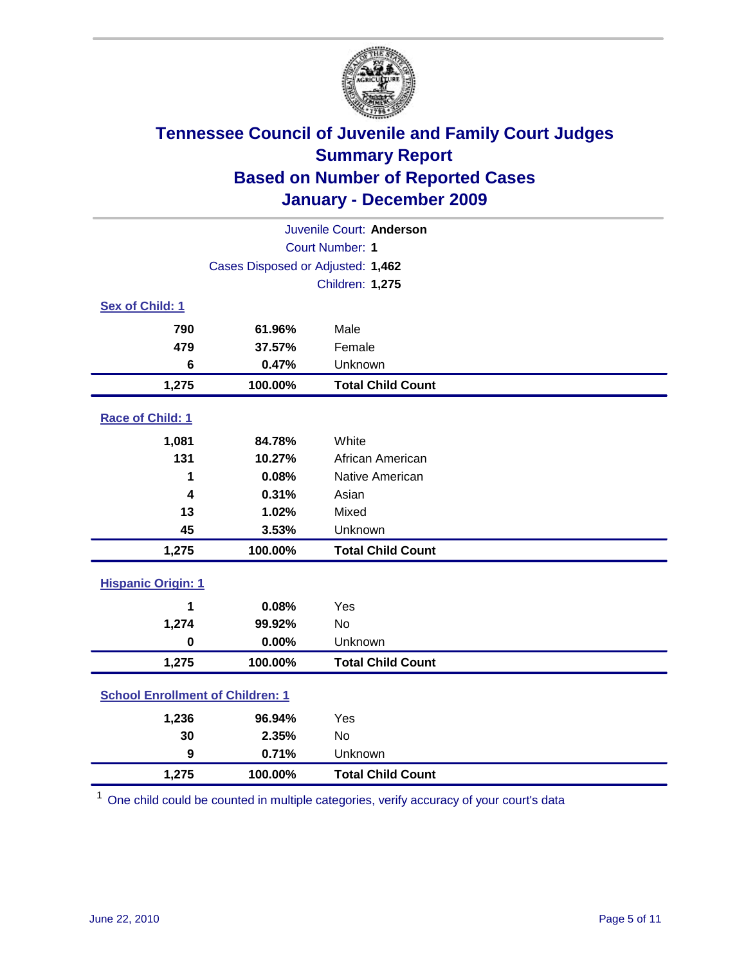

| Juvenile Court: Anderson                |                                   |                          |  |  |
|-----------------------------------------|-----------------------------------|--------------------------|--|--|
| <b>Court Number: 1</b>                  |                                   |                          |  |  |
|                                         | Cases Disposed or Adjusted: 1,462 |                          |  |  |
|                                         |                                   | <b>Children: 1,275</b>   |  |  |
| Sex of Child: 1                         |                                   |                          |  |  |
| 790                                     | 61.96%                            | Male                     |  |  |
| 479                                     | 37.57%                            | Female                   |  |  |
| 6                                       | 0.47%                             | Unknown                  |  |  |
| 1,275                                   | 100.00%                           | <b>Total Child Count</b> |  |  |
| Race of Child: 1                        |                                   |                          |  |  |
| 1,081                                   | 84.78%                            | White                    |  |  |
| 131                                     | 10.27%                            | African American         |  |  |
| 1                                       | 0.08%                             | Native American          |  |  |
| 4                                       | 0.31%                             | Asian                    |  |  |
| 13                                      | 1.02%                             | Mixed                    |  |  |
| 45                                      | 3.53%                             | Unknown                  |  |  |
| 1,275                                   | 100.00%                           | <b>Total Child Count</b> |  |  |
| <b>Hispanic Origin: 1</b>               |                                   |                          |  |  |
| 1                                       | 0.08%                             | Yes                      |  |  |
| 1,274                                   | 99.92%                            | <b>No</b>                |  |  |
| $\mathbf 0$                             | 0.00%                             | Unknown                  |  |  |
| 1,275                                   | 100.00%                           | <b>Total Child Count</b> |  |  |
| <b>School Enrollment of Children: 1</b> |                                   |                          |  |  |
| 1,236                                   | 96.94%                            | Yes                      |  |  |
| 30                                      | 2.35%                             | No                       |  |  |
| $\boldsymbol{9}$                        | 0.71%                             | Unknown                  |  |  |
| 1,275                                   | 100.00%                           | <b>Total Child Count</b> |  |  |

<sup>1</sup> One child could be counted in multiple categories, verify accuracy of your court's data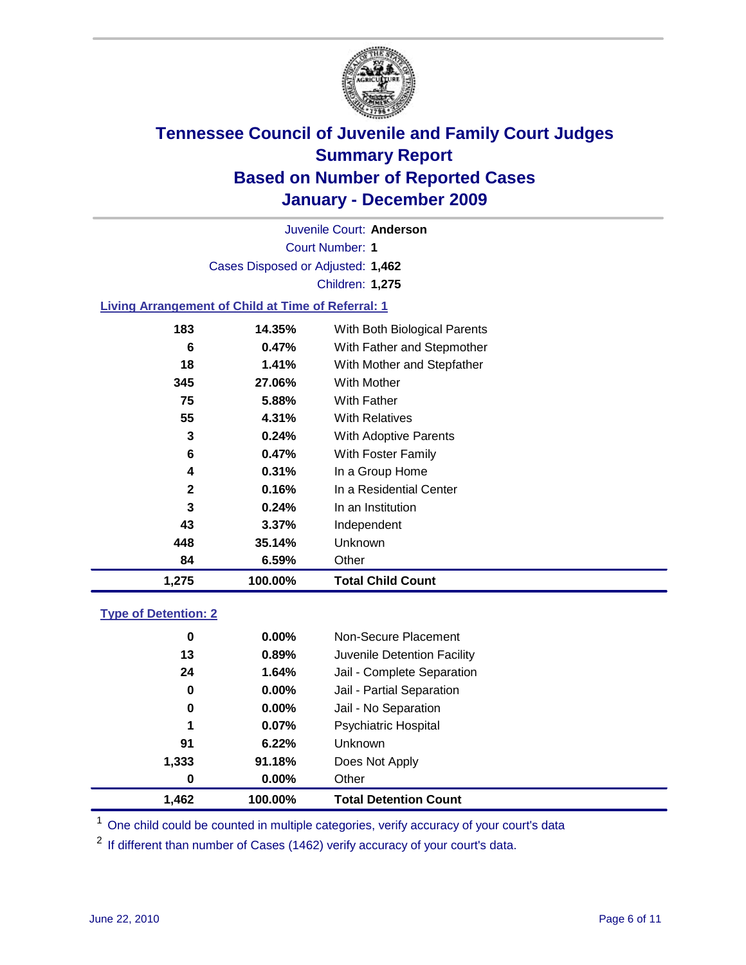

Court Number: **1** Juvenile Court: **Anderson** Cases Disposed or Adjusted: **1,462** Children: **1,275**

### **Living Arrangement of Child at Time of Referral: 1**

| 1,275        | 100.00%  | <b>Total Child Count</b>     |
|--------------|----------|------------------------------|
| 84           | 6.59%    | Other                        |
| 448          | 35.14%   | Unknown                      |
| 43           | $3.37\%$ | Independent                  |
| 3            | 0.24%    | In an Institution            |
| $\mathbf{2}$ | 0.16%    | In a Residential Center      |
| 4            | 0.31%    | In a Group Home              |
| 6            | 0.47%    | With Foster Family           |
| 3            | 0.24%    | With Adoptive Parents        |
| 55           | 4.31%    | <b>With Relatives</b>        |
| 75           | 5.88%    | With Father                  |
| 345          | 27.06%   | With Mother                  |
| 18           | 1.41%    | With Mother and Stepfather   |
| 6            | 0.47%    | With Father and Stepmother   |
| 183          | 14.35%   | With Both Biological Parents |
|              |          |                              |

#### **Type of Detention: 2**

| 1,462 | 100.00%  | <b>Total Detention Count</b> |  |
|-------|----------|------------------------------|--|
| 0     | $0.00\%$ | Other                        |  |
| 1,333 | 91.18%   | Does Not Apply               |  |
| 91    | 6.22%    | Unknown                      |  |
| 1     | 0.07%    | <b>Psychiatric Hospital</b>  |  |
| 0     | 0.00%    | Jail - No Separation         |  |
| 0     | $0.00\%$ | Jail - Partial Separation    |  |
| 24    | 1.64%    | Jail - Complete Separation   |  |
| 13    | 0.89%    | Juvenile Detention Facility  |  |
| 0     | $0.00\%$ | Non-Secure Placement         |  |
|       |          |                              |  |

<sup>1</sup> One child could be counted in multiple categories, verify accuracy of your court's data

<sup>2</sup> If different than number of Cases (1462) verify accuracy of your court's data.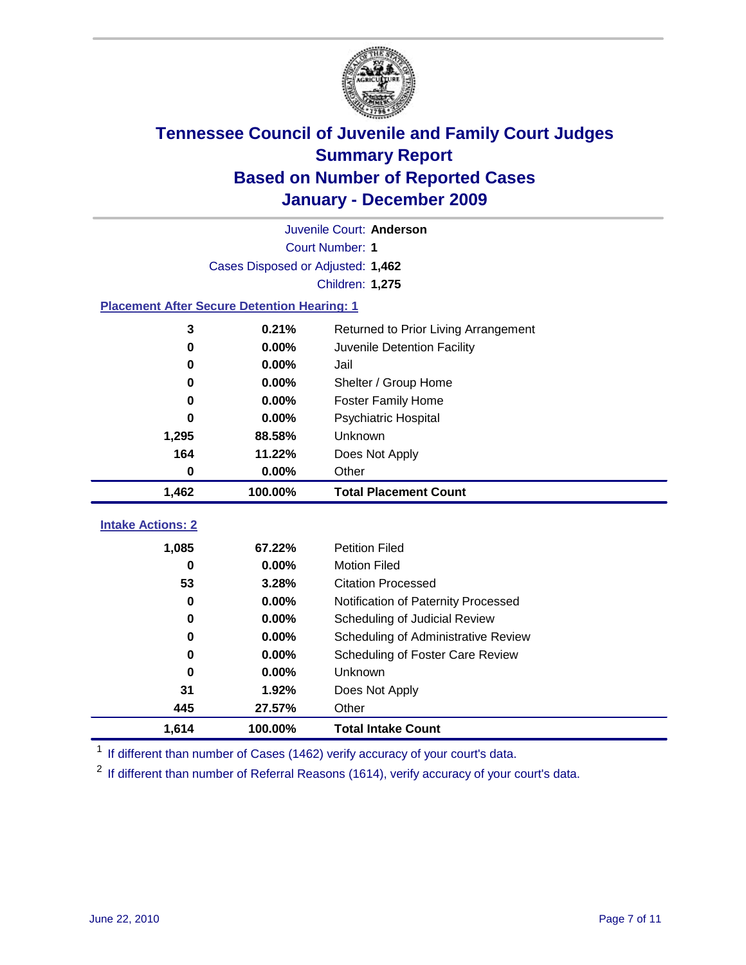

|                                                    | Juvenile Court: Anderson          |                                      |  |  |  |
|----------------------------------------------------|-----------------------------------|--------------------------------------|--|--|--|
|                                                    | <b>Court Number: 1</b>            |                                      |  |  |  |
|                                                    | Cases Disposed or Adjusted: 1,462 |                                      |  |  |  |
|                                                    |                                   | Children: 1,275                      |  |  |  |
| <b>Placement After Secure Detention Hearing: 1</b> |                                   |                                      |  |  |  |
| 3                                                  | 0.21%                             | Returned to Prior Living Arrangement |  |  |  |
| $\bf{0}$                                           | 0.00%                             | Juvenile Detention Facility          |  |  |  |
| 0                                                  | 0.00%                             | Jail                                 |  |  |  |
| 0                                                  | 0.00%                             | Shelter / Group Home                 |  |  |  |
| 0                                                  | 0.00%                             | <b>Foster Family Home</b>            |  |  |  |
| 0                                                  | 0.00%                             | Psychiatric Hospital                 |  |  |  |
| 1,295                                              | 88.58%                            | Unknown                              |  |  |  |
| 164                                                | 11.22%                            | Does Not Apply                       |  |  |  |
| $\mathbf 0$                                        | 0.00%                             | Other                                |  |  |  |
| 1,462                                              | 100.00%                           | <b>Total Placement Count</b>         |  |  |  |
| <b>Intake Actions: 2</b>                           |                                   |                                      |  |  |  |
|                                                    |                                   |                                      |  |  |  |
| 1,085                                              | 67.22%                            | <b>Petition Filed</b>                |  |  |  |
| $\bf{0}$                                           | 0.00%                             | <b>Motion Filed</b>                  |  |  |  |
| 53                                                 | 3.28%                             | <b>Citation Processed</b>            |  |  |  |
| 0                                                  | 0.00%                             | Notification of Paternity Processed  |  |  |  |
| 0                                                  | 0.00%                             | Scheduling of Judicial Review        |  |  |  |
| 0                                                  | 0.00%                             | Scheduling of Administrative Review  |  |  |  |
| 0                                                  | 0.00%                             | Scheduling of Foster Care Review     |  |  |  |
| 0                                                  | 0.00%                             | Unknown                              |  |  |  |
| 31                                                 | 1.92%                             | Does Not Apply                       |  |  |  |
| 445                                                | 27.57%                            | Other                                |  |  |  |
| 1,614                                              | 100.00%                           | <b>Total Intake Count</b>            |  |  |  |

<sup>1</sup> If different than number of Cases (1462) verify accuracy of your court's data.

<sup>2</sup> If different than number of Referral Reasons (1614), verify accuracy of your court's data.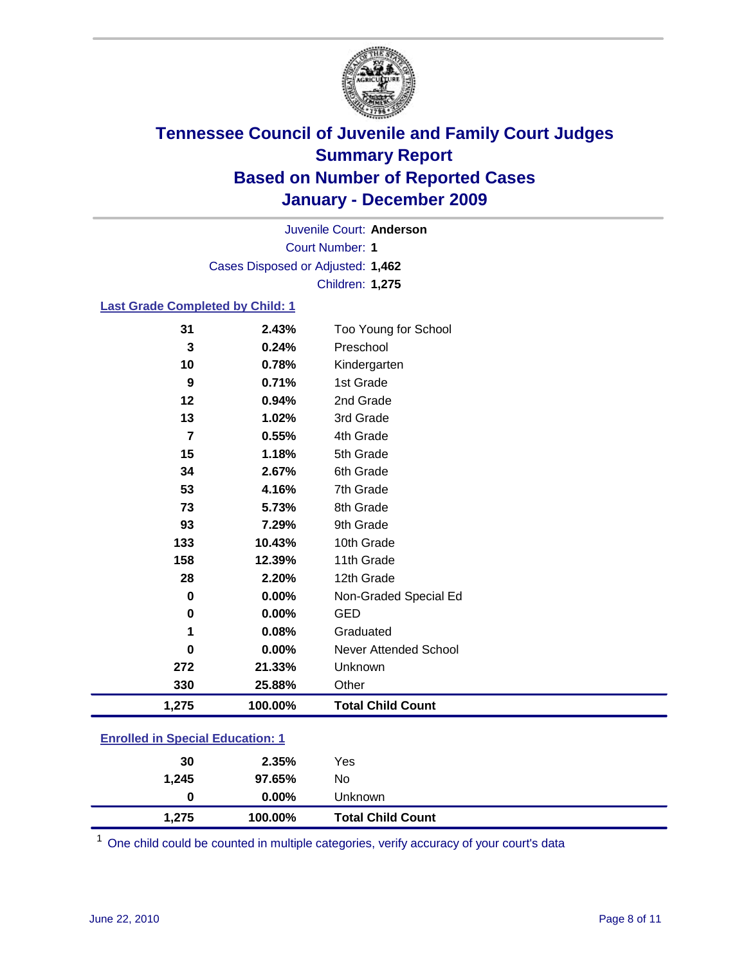

Court Number: **1** Juvenile Court: **Anderson** Cases Disposed or Adjusted: **1,462** Children: **1,275**

### **Last Grade Completed by Child: 1**

| 31                                      | 2.43%   | Too Young for School         |  |
|-----------------------------------------|---------|------------------------------|--|
| 3                                       | 0.24%   | Preschool                    |  |
| 10                                      | 0.78%   | Kindergarten                 |  |
| 9                                       | 0.71%   | 1st Grade                    |  |
| 12                                      | 0.94%   | 2nd Grade                    |  |
| 13                                      | 1.02%   | 3rd Grade                    |  |
| 7                                       | 0.55%   | 4th Grade                    |  |
| 15                                      | 1.18%   | 5th Grade                    |  |
| 34                                      | 2.67%   | 6th Grade                    |  |
| 53                                      | 4.16%   | 7th Grade                    |  |
| 73                                      | 5.73%   | 8th Grade                    |  |
| 93                                      | 7.29%   | 9th Grade                    |  |
| 133                                     | 10.43%  | 10th Grade                   |  |
| 158                                     | 12.39%  | 11th Grade                   |  |
| 28                                      | 2.20%   | 12th Grade                   |  |
| 0                                       | 0.00%   | Non-Graded Special Ed        |  |
| $\mathbf 0$                             | 0.00%   | <b>GED</b>                   |  |
| 1                                       | 0.08%   | Graduated                    |  |
| 0                                       | 0.00%   | <b>Never Attended School</b> |  |
| 272                                     | 21.33%  | Unknown                      |  |
| 330                                     | 25.88%  | Other                        |  |
| 1,275                                   | 100.00% | <b>Total Child Count</b>     |  |
| <b>Enrolled in Special Education: 1</b> |         |                              |  |

| 1.275                                  | 100.00%  | <b>Total Child Count</b> |  |  |
|----------------------------------------|----------|--------------------------|--|--|
| 0                                      | $0.00\%$ | <b>Unknown</b>           |  |  |
| 1.245                                  | 97.65%   | No.                      |  |  |
| 30                                     | 2.35%    | Yes                      |  |  |
| <u>Emolied in opecial Education. T</u> |          |                          |  |  |

One child could be counted in multiple categories, verify accuracy of your court's data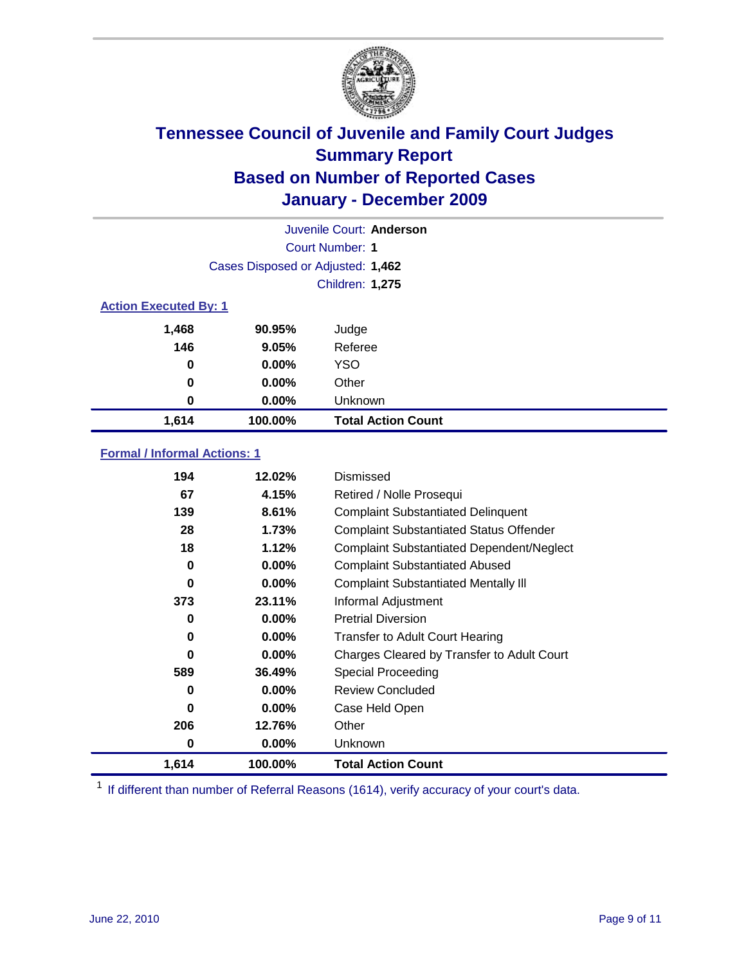

| Juvenile Court: Anderson |                                   |                           |  |  |  |
|--------------------------|-----------------------------------|---------------------------|--|--|--|
|                          | Court Number: 1                   |                           |  |  |  |
|                          | Cases Disposed or Adjusted: 1,462 |                           |  |  |  |
|                          | Children: 1,275                   |                           |  |  |  |
|                          | <b>Action Executed By: 1</b>      |                           |  |  |  |
| 1,468                    | 90.95%                            | Judge                     |  |  |  |
| 146                      | 9.05%                             | Referee                   |  |  |  |
| 0                        | $0.00\%$                          | <b>YSO</b>                |  |  |  |
| $\bf{0}$                 | 0.00%                             | Other                     |  |  |  |
| 0                        | 0.00%                             | Unknown                   |  |  |  |
| 1,614                    | 100.00%                           | <b>Total Action Count</b> |  |  |  |

### **Formal / Informal Actions: 1**

| 194   | 12.02%   | Dismissed                                        |
|-------|----------|--------------------------------------------------|
| 67    | 4.15%    | Retired / Nolle Prosequi                         |
| 139   | 8.61%    | <b>Complaint Substantiated Delinquent</b>        |
| 28    | 1.73%    | <b>Complaint Substantiated Status Offender</b>   |
| 18    | 1.12%    | <b>Complaint Substantiated Dependent/Neglect</b> |
| 0     | $0.00\%$ | <b>Complaint Substantiated Abused</b>            |
| 0     | $0.00\%$ | <b>Complaint Substantiated Mentally III</b>      |
| 373   | 23.11%   | Informal Adjustment                              |
| 0     | $0.00\%$ | <b>Pretrial Diversion</b>                        |
| 0     | $0.00\%$ | <b>Transfer to Adult Court Hearing</b>           |
| 0     | $0.00\%$ | Charges Cleared by Transfer to Adult Court       |
| 589   | 36.49%   | <b>Special Proceeding</b>                        |
| 0     | $0.00\%$ | <b>Review Concluded</b>                          |
| 0     | $0.00\%$ | Case Held Open                                   |
| 206   | 12.76%   | Other                                            |
| 0     | 0.00%    | <b>Unknown</b>                                   |
| 1,614 | 100.00%  | <b>Total Action Count</b>                        |

<sup>1</sup> If different than number of Referral Reasons (1614), verify accuracy of your court's data.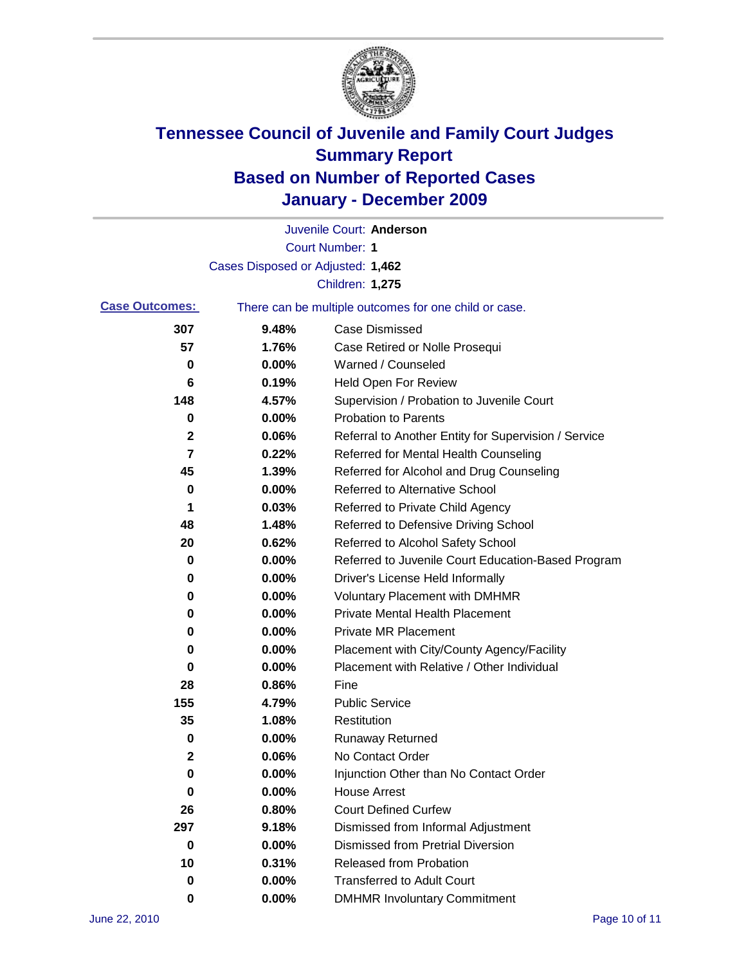

|                       |                                   | Juvenile Court: Anderson                              |
|-----------------------|-----------------------------------|-------------------------------------------------------|
|                       |                                   | <b>Court Number: 1</b>                                |
|                       | Cases Disposed or Adjusted: 1,462 |                                                       |
|                       |                                   | Children: 1,275                                       |
| <b>Case Outcomes:</b> |                                   | There can be multiple outcomes for one child or case. |
| 307                   | 9.48%                             | <b>Case Dismissed</b>                                 |
| 57                    | 1.76%                             | Case Retired or Nolle Prosequi                        |
| 0                     | 0.00%                             | Warned / Counseled                                    |
| 6                     | 0.19%                             | Held Open For Review                                  |
| 148                   | 4.57%                             | Supervision / Probation to Juvenile Court             |
| 0                     | 0.00%                             | <b>Probation to Parents</b>                           |
| 2                     | 0.06%                             | Referral to Another Entity for Supervision / Service  |
| 7                     | 0.22%                             | Referred for Mental Health Counseling                 |
| 45                    | 1.39%                             | Referred for Alcohol and Drug Counseling              |
| 0                     | 0.00%                             | <b>Referred to Alternative School</b>                 |
| 1                     | 0.03%                             | Referred to Private Child Agency                      |
| 48                    | 1.48%                             | Referred to Defensive Driving School                  |
| 20                    | 0.62%                             | Referred to Alcohol Safety School                     |
| 0                     | 0.00%                             | Referred to Juvenile Court Education-Based Program    |
| 0                     | 0.00%                             | Driver's License Held Informally                      |
| 0                     | 0.00%                             | <b>Voluntary Placement with DMHMR</b>                 |
| 0                     | 0.00%                             | <b>Private Mental Health Placement</b>                |
| 0                     | 0.00%                             | <b>Private MR Placement</b>                           |
| 0                     | 0.00%                             | Placement with City/County Agency/Facility            |
| 0                     | 0.00%                             | Placement with Relative / Other Individual            |
| 28                    | 0.86%                             | Fine                                                  |
| 155                   | 4.79%                             | <b>Public Service</b>                                 |
| 35                    | 1.08%                             | Restitution                                           |
| 0                     | 0.00%                             | <b>Runaway Returned</b>                               |
| 2                     | 0.06%                             | No Contact Order                                      |
| 0                     | 0.00%                             | Injunction Other than No Contact Order                |
| 0                     | 0.00%                             | <b>House Arrest</b>                                   |
| 26                    | 0.80%                             | <b>Court Defined Curfew</b>                           |
| 297                   | 9.18%                             | Dismissed from Informal Adjustment                    |
| 0                     | 0.00%                             | <b>Dismissed from Pretrial Diversion</b>              |
| 10                    | 0.31%                             | Released from Probation                               |
| 0                     | 0.00%                             | <b>Transferred to Adult Court</b>                     |
| 0                     | $0.00\%$                          | <b>DMHMR Involuntary Commitment</b>                   |